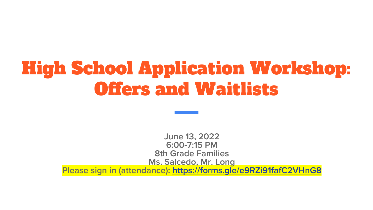# High School Application Workshop: Offers and Waitlists

June 13, 2022 6:00-7:15 PM 8th Grade Families Ms. Salcedo, Mr. Long Please sign in (attendance): <https://forms.gle/e9RZi91fafC2VHnG8>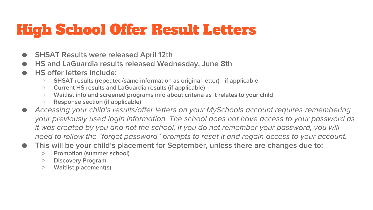# High School Offer Result Letters

- **SHSAT Results were released April 12th**
- **HS and LaGuardia results released Wednesday, June 8th**
- HS offer letters include:
	- SHSAT results (repeated/same information as original letter) if applicable
	- Current HS results and LaGuardia results (if applicable)
	- Waitlist info and screened programs info about criteria as it relates to your child
	- Response section (if applicable)
- *Accessing your child's results/offer letters on your MySchools account requires remembering your previously used login information. The school does not have access to your password as it was created by you and not the school. If you do not remember your password, you will need to follow the "forgot password" prompts to reset it and regain access to your account.*
- This will be your child's placement for September, unless there are changes due to:
	- Promotion (summer school)
	- Discovery Program
	- Waitlist placement(s)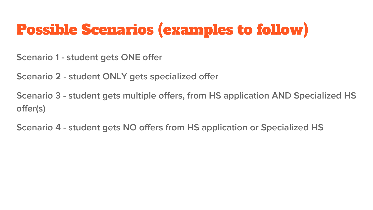# Possible Scenarios (examples to follow)

Scenario 1 - student gets ONE offer

Scenario 2 - student ONLY gets specialized offer

Scenario 3 - student gets multiple offers, from HS application AND Specialized HS offer(s)

Scenario 4 - student gets NO offers from HS application or Specialized HS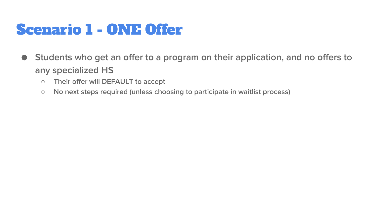# Scenario 1 - ONE Offer

- Students who get an offer to a program on their application, and no offers to any specialized HS
	- Their offer will DEFAULT to accept
	- No next steps required (unless choosing to participate in waitlist process)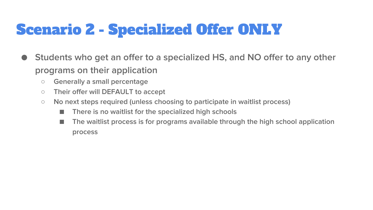# Scenario 2 - Specialized Offer ONLY

- Students who get an offer to a specialized HS, and NO offer to any other programs on their application
	- Generally a small percentage
	- Their offer will DEFAULT to accept
	- No next steps required (unless choosing to participate in waitlist process)
		- There is no waitlist for the specialized high schools
		- The waitlist process is for programs available through the high school application process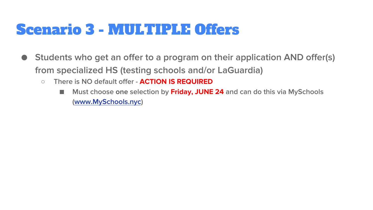#### Scenario 3 - MULTIPLE Offers

- Students who get an offer to a program on their application AND offer(s) from specialized HS (testing schools and/or LaGuardia)
	- There is NO default offer **ACTION IS REQUIRED**
		- Must choose one selection by **Friday, JUNE 24** and can do this via MySchools ([www.MySchools.nyc](http://www.myschools.nyc))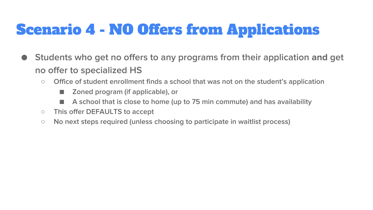# Scenario 4 - NO Offers from Applications

- Students who get no offers to any programs from their application **and** get no offer to specialized HS
	- Office of student enrollment finds a school that was not on the student's application
		- Zoned program (if applicable), or
		- A school that is close to home (up to 75 min commute) and has availability
	- This offer DEFAULTS to accept
	- No next steps required (unless choosing to participate in waitlist process)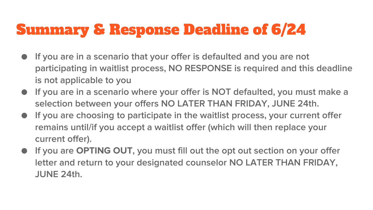# Summary & Response Deadline of 6/24

- If you are in a scenario that your offer is defaulted and you are not participating in waitlist process, NO RESPONSE is required and this deadline is not applicable to you
- If you are in a scenario where your offer is NOT defaulted, you must make a selection between your offers NO LATER THAN FRIDAY, JUNE 24th.
- If you are choosing to participate in the waitlist process, your current offer remains until/if you accept a waitlist offer (which will then replace your current offer).
- If you are **OPTING OUT**, you must fill out the opt out section on your offer letter and return to your designated counselor NO LATER THAN FRIDAY, JUNE 24th.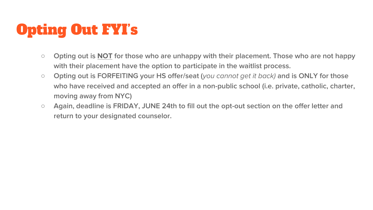# Opting Out FYI's

- Opting out is **NOT** for those who are unhappy with their placement. Those who are not happy with their placement have the option to participate in the waitlist process.
- Opting out is FORFEITING your HS offer/seat (*you cannot get it back)* and is ONLY for those who have received and accepted an offer in a non-public school (i.e. private, catholic, charter, moving away from NYC)
- Again, deadline is FRIDAY, JUNE 24th to fill out the opt-out section on the offer letter and return to your designated counselor.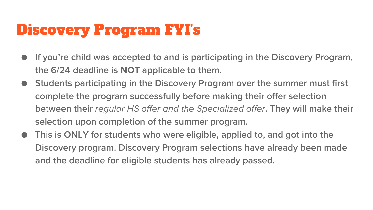# Discovery Program FYI's

- If you're child was accepted to and is participating in the Discovery Program, the 6/24 deadline is **NOT** applicable to them.
- Students participating in the Discovery Program over the summer must first complete the program successfully before making their offer selection between their *regular HS offer and the Specialized offer*. They will make their selection upon completion of the summer program.
- This is ONLY for students who were eligible, applied to, and got into the Discovery program. Discovery Program selections have already been made and the deadline for eligible students has already passed.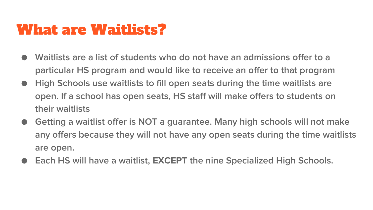#### What are Waitlists?

- Waitlists are a list of students who do not have an admissions offer to a particular HS program and would like to receive an offer to that program
- High Schools use waitlists to fill open seats during the time waitlists are open. If a school has open seats, HS staff will make offers to students on their waitlists
- Getting a waitlist offer is NOT a guarantee. Many high schools will not make any offers because they will not have any open seats during the time waitlists are open.
- Each HS will have a waitlist, **EXCEPT** the nine Specialized High Schools.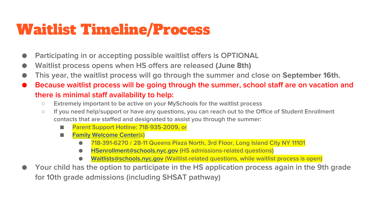# Waitlist Timeline/Process

- Participating in or accepting possible waitlist offers is OPTIONAL
- Waitlist process opens when HS offers are released **(June 8th)**
- This year, the waitlist process will go through the summer and close on **September 16th.**
- Because waitlist process will be going through the summer, school staff are on vacation and there is minimal staff availability to help:
	- Extremely important to be active on your MySchools for the waitlist process
	- If you need help/support or have any questions, you can reach out to the Office of Student Enrollment contacts that are staffed and designated to assist you through the summer:
		- Parent Support Hotline: 718-935-2009, or
		- [Family Welcome Center](https://www.schools.nyc.gov/enrollment/enrollment-help/family-welcome-centers)(s)
			- 718-391-6270 / 28-11 Queens Plaza North, 3rd Floor, Long Island City NY 11101
			- [HSenrollment@schools.nyc.gov](mailto:HSenrollment@schools.nyc.gov) (HS admissions-related questions)
			- [Waitlists@schools.nyc.gov](mailto:Waitlists@schools.nyc.gov) (Waitlist-related questions, while waitlist process is open)
- Your child has the option to participate in the HS application process again in the 9th grade for 10th grade admissions (including SHSAT pathway)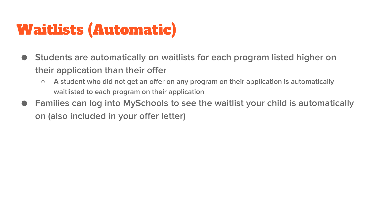# Waitlists (Automatic)

- Students are automatically on waitlists for each program listed higher on their application than their offer
	- A student who did not get an offer on any program on their application is automatically waitlisted to each program on their application
- Families can log into MySchools to see the waitlist your child is automatically on (also included in your offer letter)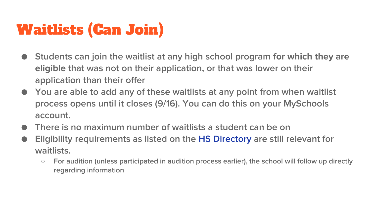# Waitlists (Can Join)

- Students can join the waitlist at any high school program **for which they are eligible** that was not on their application, or that was lower on their application than their offer
- You are able to add any of these waitlists at any point from when waitlist process opens until it closes (9/16). You can do this on your MySchools account.
- There is no maximum number of waitlists a student can be on
- Eligibility requirements as listed on the [HS Directory](https://www.myschools.nyc/en/schools/high-school/) are still relevant for waitlists.
	- For audition (unless participated in audition process earlier), the school will follow up directly regarding information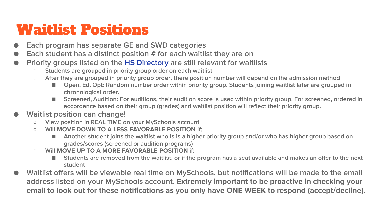# Waitlist Positions

- Each program has separate GE and SWD categories
- Each student has a distinct position  $#$  for each waitlist they are on
- Priority groups listed on the [HS Directory](https://www.myschools.nyc/en/schools/high-school/) are still relevant for waitlists
	- Students are grouped in priority group order on each waitlist
	- After they are grouped in priority group order, there position number will depend on the admission method
		- Open, Ed. Opt: Random number order within priority group. Students joining waitlist later are grouped in chronological order.
		- Screened, Audition: For auditions, their audition score is used within priority group. For screened, ordered in accordance based on their group (grades) and waitlist position will reflect their priority group.

#### Waitlist position can change!

- View position in REAL TIME on your MySchools account
- Will **MOVE DOWN TO A LESS FAVORABLE POSITION** if:
	- Another student joins the waitlist who is is a higher priority group and/or who has higher group based on grades/scores (screened or audition programs)
- Will **MOVE UP TO A MORE FAVORABLE POSITION** if:
	- Students are removed from the waitlist, or if the program has a seat available and makes an offer to the next student
- Waitlist offers will be viewable real time on MySchools, but notifications will be made to the email address listed on your MySchools account. **Extremely important to be proactive in checking your email to look out for these notifications as you only have ONE WEEK to respond (accept/decline).**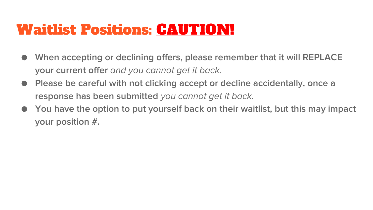#### Waitlist Positions: CAUTION!

- When accepting or declining offers, please remember that it will REPLACE your current offer *and you cannot get it back.*
- Please be careful with not clicking accept or decline accidentally, once a response has been submitted *you cannot get it back.*
- You have the option to put yourself back on their waitlist, but this may impact your position #.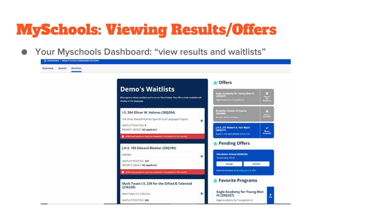# MySchools: Viewing Results/Offers

● Your Myschools Dashboard: "view results and waitlists"

| <b>Waitlists</b><br>Overview<br>Search |                                                                                                                                                                                                                                                                             |                                                                                                                   |
|----------------------------------------|-----------------------------------------------------------------------------------------------------------------------------------------------------------------------------------------------------------------------------------------------------------------------------|-------------------------------------------------------------------------------------------------------------------|
|                                        | <b>Coffers</b><br><b>Demo's Waitlists</b><br>(29Q327)<br>All programs whose waitlists you're on are listed below. Any offers made available will<br>Eagle Academy For Young Men III<br>display on the Overview.                                                             | ES<br>Eagle Academy for Young Men III<br>Station<br>No<br>Respécie                                                |
|                                        | Brooklyn School of Inquiry<br>I.S. 204 Oliver W. Holmes (30Q204)<br>(20K646)<br><b>Droublyn School of Impany</b><br>The Oliver Wendell Holmes Spanish Dual Language Program<br>×                                                                                            | E3<br><b>Nielien</b>                                                                                              |
|                                        | <b>WAITLIST POSITION: 9</b><br>J.H.S. 217 Robert A. Van Wyck<br>PRIORITY GROUP: GE applicant<br>(28Q217)<br>Robert A. Van Wyck (Middle School 217)<br>Additional questions must be arrowing to be placed on this weiths:                                                    | $\checkmark$<br>$\begin{array}{c} \textbf{A}_{\text{DPMM}}\\ \textbf{A}_{\text{DMPMM}} \end{array}$               |
|                                        | Pending Offers<br>J.H.S. 185 Edward Bleeker (25Q185)<br>Ella Baker School (02M225)<br><b>ASPIRES</b><br>×<br>The Elia Baker School<br>WAITLIST POSITION: 127<br>Accept<br>PRIORITY GROUP: GE applicant<br>Additional goostons must be answered to be placed on this watchst | Decline<br>Response Deadline: Wednesday, June 8, 2022                                                             |
|                                        | Mark Twain I.S. 239 for the Gifted & Talented<br>(21K239)<br>×<br>Mark Twain (I.S. 239) (Art)<br>III (29Q327)<br>WAITUST POSITION: 202                                                                                                                                      | Favorite Programs<br><b>Eagle Academy for Young Men</b><br>$\frac{1}{\lambda}$<br>Eagle Academy For Young Men III |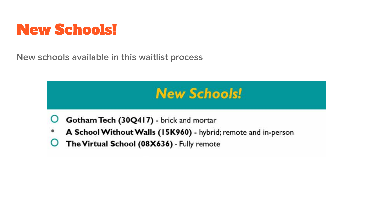#### New Schools!

New schools available in this waitlist process

#### **New Schools!**

- Gotham Tech (30Q417) brick and mortar
- A School Without Walls (15K960) hybrid; remote and in-person
- O The Virtual School (08X636) - Fully remote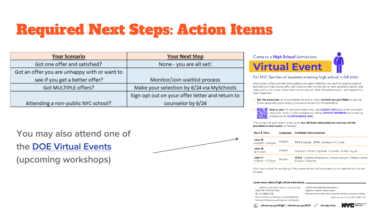# Required Next Steps: Action Items

| <b>Your Scenario</b>                         | <b>Your Next Step</b>                           |
|----------------------------------------------|-------------------------------------------------|
| Got one offer and satisfied?                 | None - you are all set!                         |
| Got an offer you are unhappy with or want to |                                                 |
| see if you get a better offer?               | Monitor/Join waitlist process                   |
| Got MULTIPLE offers?                         | Make your selection by 6/24 via MySchools       |
|                                              | Sign opt out on your offer letter and return to |
| Attending a non-public NYC school?           | counselor by 6/24                               |

You may also attend one of the [DOE Virtual Events](https://drive.google.com/drive/folders/1tmoLNdT8gWW26Q8FKC9t4drPbHKZ4mK4) (upcoming workshops)





#### For NYC families of students entering high school in fall 2022

High school offers are here and waitlists are open! Whether you want to explore options beyond your high school offer, still need an offer for the fall, or have questions about next steps, join us for a live virtual information session. After the presentation, we'll respond to your questions.

- Get the passcode: 24 hours before the event, check schools.nyc.gov/High to get the Zoom passcode you'll need to join and numbers for interpretation.
- How to join: At the event start time, visit [ZOOM LINK] and enter the event passcode. Audio is also available by calling [PHONE NUMBER] and entering conference ID **[CONFERENCE ID#1**,

The content of each event is the same, but different interpretation services will be provided at each event, as follows:

|  | Date & Time                             | Language | <b>Available Interpretation</b>                                                |
|--|-----------------------------------------|----------|--------------------------------------------------------------------------------|
|  | June 15<br>$5:30$ pm - $6:30$ pm        | English  | বাংলা   Bangla , 한국어   Korean, اردو   Urdu                                     |
|  | June 16<br>1pm-2pm                      | English  | Français   French, Русский   Russian, Arabic   العربية                         |
|  | <b>June 21</b><br>$5:30$ pm - $6:30$ pm | English  | 普通話   Chinese (Mandarin), Kreyòl Ayisyen   Haitian Creole<br>Español   Spanish |

Can't join us live? A recording of this presentation will be posted on our website by the end of June.

#### Learn more about high school admissions.

| تعرفوا على المزيد عن عمليات القيول بالمدرسة الثانوية.       |  |
|-------------------------------------------------------------|--|
| হাই স্কুল ভৰ্তি সম্পৰ্কে আরও জানুন।                         |  |
| 進一步了解高中入學。                                                  |  |
| Pour en savoir plus sur l'admission en lycée (High School). |  |
| Jwenn plis enfomasyon sou admisyon nan Leköl Segondè.       |  |

고등학교 입학전형에 대해 자세히 알아보기. Подробнее о приеме в средние школы. Obtenga más información sobre el proceso de admisión a la escuela secundaria. پائی اسکول داخلوں کے بارے میں مزید جانیئے۔

718-935-2009

 $\boxed{\frac{2}{3}}$  schools.nyc.gov/High | schools.nyc.gov/SHS  $\mathbb{C}$ 

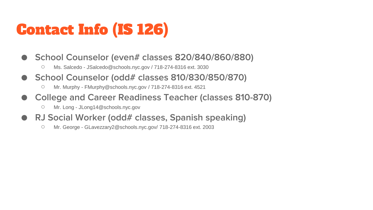# Contact Info (IS 126)

- School Counselor (even# classes 820/840/860/880)
	- O Ms. Salcedo JSalcedo@schools.nyc.gov / 718-274-8316 ext. 3030
- School Counselor (odd# classes 810/830/850/870)
	- Mr. Murphy FMurphy@schools.nyc.gov / 718-274-8316 ext. 4521
- College and Career Readiness Teacher (classes 810-870)
	- Mr. Long JLong14@schools.nyc.gov
- RJ Social Worker (odd# classes, Spanish speaking)
	- Mr. George GLavezzary2@schools.nyc.gov/ 718-274-8316 ext. 2003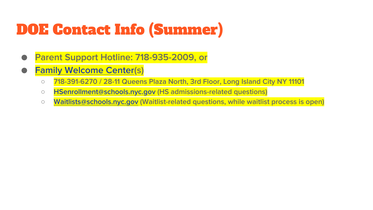# DOE Contact Info (Summer)

- Parent Support Hotline: 718-935-2009, or
- **[Family Welcome Center](https://www.schools.nyc.gov/enrollment/enrollment-help/family-welcome-centers)(s)** 
	- 718-391-6270 / 28-11 Queens Plaza North, 3rd Floor, Long Island City NY 11101
	- [HSenrollment@schools.nyc.gov](mailto:HSenrollment@schools.nyc.gov) (HS admissions-related questions)
	- [Waitlists@schools.nyc.gov](mailto:Waitlists@schools.nyc.gov) (Waitlist-related questions, while waitlist process is open)